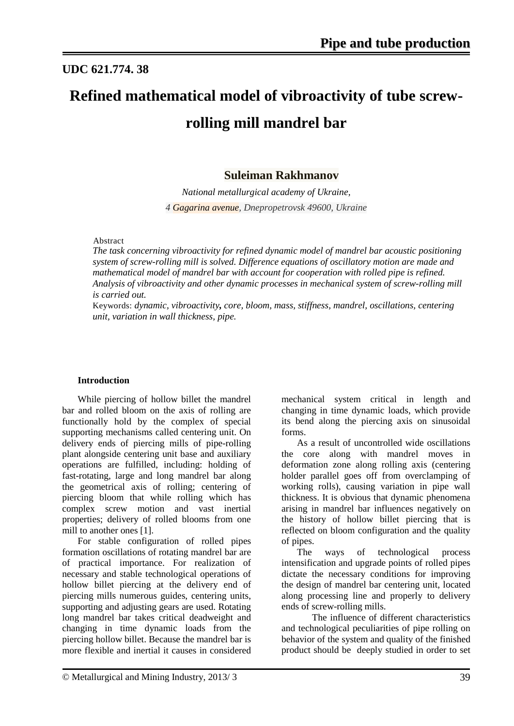## **UDC 621.774. 38**

# **Refined mathematical model of vibroactivity of tube screwrolling mill mandrel bar**

### **Suleiman Rakhmanov**

*National metallurgical academy of Ukraine, 4 Gagarina avenue, Dnepropetrovsk 49600, Ukraine*

#### Abstract

*The task concerning vibroactivity for refined dynamic model of mandrel bar acoustic positioning system of screw-rolling mill is solved. Difference equations of oscillatory motion are made and mathematical model of mandrel bar with account for cooperation with rolled pipe is refined. Analysis of vibroactivity and other dynamic processes in mechanical system of screw-rolling mill is carried out.* 

Keywords: *dynamic, vibroactivity, core, bloom, mass, stiffness, mandrel, oscillations, centering unit, variation in wall thickness, pipe.*

#### **Introduction**

While piercing of hollow billet the mandrel bar and rolled bloom on the axis of rolling are functionally hold by the complex of special supporting mechanisms called centering unit. On delivery ends of piercing mills of pipe-rolling plant alongside centering unit base and auxiliary operations are fulfilled, including: holding of fast-rotating, large and long mandrel bar along the geometrical axis of rolling; centering of piercing bloom that while rolling which has complex screw motion and vast inertial properties; delivery of rolled blooms from one mill to another ones [1].

For stable configuration of rolled pipes formation oscillations of rotating mandrel bar are of practical importance. For realization of necessary and stable technological operations of hollow billet piercing at the delivery end of piercing mills numerous guides, centering units, supporting and adjusting gears are used. Rotating long mandrel bar takes critical deadweight and changing in time dynamic loads from the piercing hollow billet. Because the mandrel bar is more flexible and inertial it causes in considered mechanical system critical in length and changing in time dynamic loads, which provide its bend along the piercing axis on sinusoidal forms.

As a result of uncontrolled wide oscillations the core along with mandrel moves in deformation zone along rolling axis (centering holder parallel goes off from overclamping of working rolls), causing variation in pipe wall thickness. It is obvious that dynamic phenomena arising in mandrel bar influences negatively on the history of hollow billet piercing that is reflected on bloom configuration and the quality of pipes.

The ways of technological process intensification and upgrade points of rolled pipes dictate the necessary conditions for improving the design of mandrel bar centering unit, located along processing line and properly to delivery ends of screw-rolling mills.

The influence of different characteristics and technological peculiarities of pipe rolling on behavior of the system and quality of the finished product should be deeply studied in order to set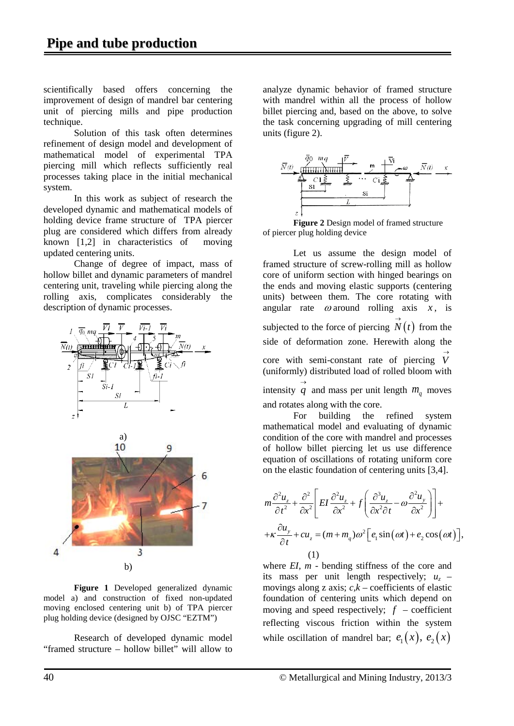scientifically based offers concerning the improvement of design of mandrel bar centering unit of piercing mills and pipe production technique.

Solution of this task often determines refinement of design model and development of mathematical model of experimental TPA piercing mill which reflects sufficiently real processes taking place in the initial mechanical system.

In this work as subject of research the developed dynamic and mathematical models of holding device frame structure of TPA piercer plug are considered which differs from already known [1,2] in characteristics of moving updated centering units.

Change of degree of impact, mass of hollow billet and dynamic parameters of mandrel centering unit, traveling while piercing along the rolling axis, complicates considerably the description of dynamic processes.



**Figure 1** Developed generalized dynamic model a) and construction of fixed non-updated moving enclosed centering unit b) of TPA piercer plug holding device (designed by OJSC "EZTM")

Research of developed dynamic model "framed structure – hollow billet" will allow to

analyze dynamic behavior of framed structure with mandrel within all the process of hollow billet piercing and, based on the above, to solve the task concerning upgrading of mill centering units (figure 2).



**Figure 2** Design model of framed structure of piercer plug holding device

Let us assume the design model of framed structure of screw-rolling mill as hollow core of uniform section with hinged bearings on the ends and moving elastic supports (centering units) between them. The core rotating with angular rate  $\omega$  around rolling axis  $x$ , is subjected to the force of piercing  $\overrightarrow{N}(t)$  from the side of deformation zone. Herewith along the core with semi-constant rate of piercing  $\overrightarrow{V}$ (uniformly) distributed load of rolled bloom with intensity  $\overrightarrow{q}$  and mass per unit length  $m_q$  moves and rotates along with the core.

For building the refined system mathematical model and evaluating of dynamic condition of the core with mandrel and processes of hollow billet piercing let us use difference equation of oscillations of rotating uniform core on the elastic foundation of centering units [3,4].

$$
m\frac{\partial^2 u_z}{\partial t^2} + \frac{\partial^2}{\partial x^2} \left[ EI \frac{\partial^2 u_z}{\partial x^2} + f \left( \frac{\partial^3 u_z}{\partial x^2 \partial t} - \omega \frac{\partial^2 u_y}{\partial x^2} \right) \right] +
$$
  
+  $\kappa \frac{\partial u_y}{\partial t} + cu_z = (m + m_q) \omega^2 \left[ e_1 \sin(\omega t) + e_2 \cos(\omega t) \right],$   
(1)

where *EI, m -* bending stiffness of the core and its mass per unit length respectively;  $u<sub>z</sub>$  – movings along z axis;  $c, k$  – coefficients of elastic foundation of centering units which depend on moving and speed respectively;  $f$  – coefficient reflecting viscous friction within the system while oscillation of mandrel bar;  $e_1(x)$ ,  $e_2(x)$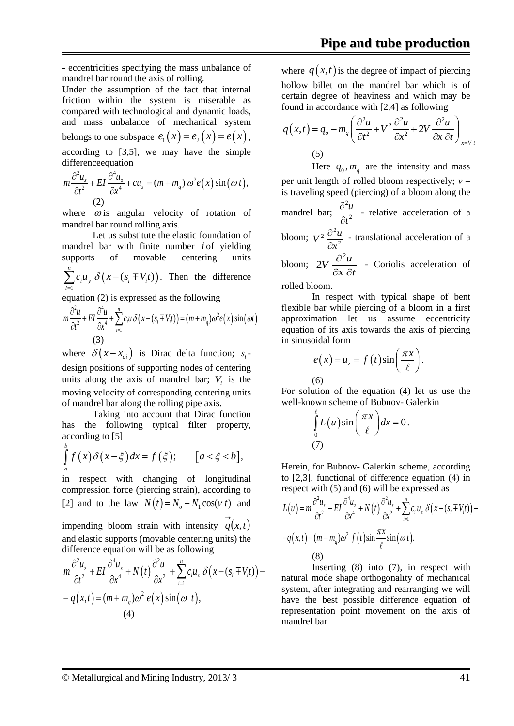- eccentricities specifying the mass unbalance of mandrel bar round the axis of rolling.

Under the assumption of the fact that internal friction within the system is miserable as compared with technological and dynamic loads, and mass unbalance of mechanical system belongs to one subspace  $e_1(x) = e_2(x) = e(x)$ , according to [3,5], we may have the simple differenceequation

$$
m\frac{\partial^2 u_z}{\partial t^2} + EI \frac{\partial^4 u_z}{\partial x^4} + cu_z = (m + m_q) \omega^2 e(x) \sin(\omega t),
$$
  
(2)

where  $\omega$  is angular velocity of rotation of mandrel bar round rolling axis.

Let us substitute the elastic foundation of mandrel bar with finite number *i* of yielding supports of movable centering units  $(x - (s_i \mp V_i t))$ 1 *n*  $c_i u_y \delta(x - (s_i \mp V_i t))$ *i*  $\sum_{i=1}^{n} c_i u_y \delta(x - (s_i \mp V_i t)).$  Then the difference equation (2) is expressed as the following

$$
m\frac{\partial^2 u}{\partial t^2} + EI \frac{\partial^4 u}{\partial x^4} + \sum_{i=1}^n c_i u \delta(x - (s_i \mp V_i t)) = (m + m_q)\omega^2 e(x) \sin(\omega t)
$$
  
(3)

where  $\delta(x - x_{oi})$  is Dirac delta function; *s*<sub>i</sub> design positions of supporting nodes of centering units along the axis of mandrel bar;  $V_i$  is the moving velocity of corresponding centering units of mandrel bar along the rolling pipe axis.

Taking into account that Dirac function has the following typical filter property, according to [5]

$$
\int_{a}^{b} f(x) \delta(x-\xi) dx = f(\xi); \qquad [a < \xi < b],
$$

in respect with changing of longitudinal compression force (piercing strain), according to [2] and to the law  $N(t) = N_a + N_1 \cos(\nu t)$  and impending bloom strain with intensity  $q(x,t)$ 

and elastic supports (movable centering units) the difference equation will be as following

$$
m\frac{\partial^2 u_z}{\partial t^2} + EI \frac{\partial^4 u_z}{\partial x^4} + N(t) \frac{\partial^2 u}{\partial x^2} + \sum_{i=1}^n c_i u_z \delta(x - (s_i \mp V_i t)) -
$$
  
-  $q(x,t) = (m + m_q)\omega^2 e(x) \sin(\omega t),$   
(4)

where  $q(x,t)$  is the degree of impact of piercing hollow billet on the mandrel bar which is of certain degree of heaviness and which may be found in accordance with [2,4] as following

$$
q(x,t) = q_o - m_q \left( \frac{\partial^2 u}{\partial t^2} + V^2 \frac{\partial^2 u}{\partial x^2} + 2V \frac{\partial^2 u}{\partial x \partial t} \right) \Big|_{x = V_t}
$$
  
(5)

Here  $q_0$ ,  $m_q$  are the intensity and mass per unit length of rolled bloom respectively; *v* – is traveling speed (piercing) of a bloom along the mandrel bar;  $\frac{3}{2}t^2$ 2 *t u* ∂  $\frac{\partial^2 u}{\partial x^2}$  - relative acceleration of a bloom;  $V^2 \frac{\partial^2 u}{\partial x^2}$ *x*  $V^2 \frac{\partial^2 u}{\partial x^2}$  $\frac{\partial^2 u}{\partial x^2}$  - translational acceleration of a bloom;  $2V \frac{\partial u}{\partial x \partial t}$  $2V \frac{\partial^2 u}{\partial x^2}$  $\partial x \partial$  $2V \frac{\partial^2 u}{\partial \Omega}$  - Coriolis acceleration of

rolled bloom.

In respect with typical shape of bent flexible bar while piercing of a bloom in a first approximation let us assume eccentricity equation of its axis towards the axis of piercing in sinusoidal form

$$
e(x) = u_z = f(t)\sin\left(\frac{\pi x}{\ell}\right).
$$
\n(6)

For solution of the equation (4) let us use the well-known scheme of Bubnov- Galerkin

$$
\int_{0}^{\ell} L(u) \sin\left(\frac{\pi x}{\ell}\right) dx = 0.
$$
\n(7)

Herein, for Bubnov- Galerkin scheme, according to [2,3], functional of difference equation (4) in respect with (5) and (6) will be expressed as

$$
L(u) = m \frac{\partial^2 u_z}{\partial t^2} + EI \frac{\partial^4 u_z}{\partial x^4} + N(t) \frac{\partial^2 u_z}{\partial x^2} + \sum_{i=1}^n c_i u_z \delta(x - (s_i \mp V_i t)) -
$$
  
- $q(x,t) - (m + m_q) \omega^2 f(t) \sin \frac{\pi x}{\ell} \sin(\omega t).$   
(8)

Inserting (8) into (7), in respect with natural mode shape orthogonality of mechanical system, after integrating and rearranging we will have the best possible difference equation of representation point movement on the axis of mandrel bar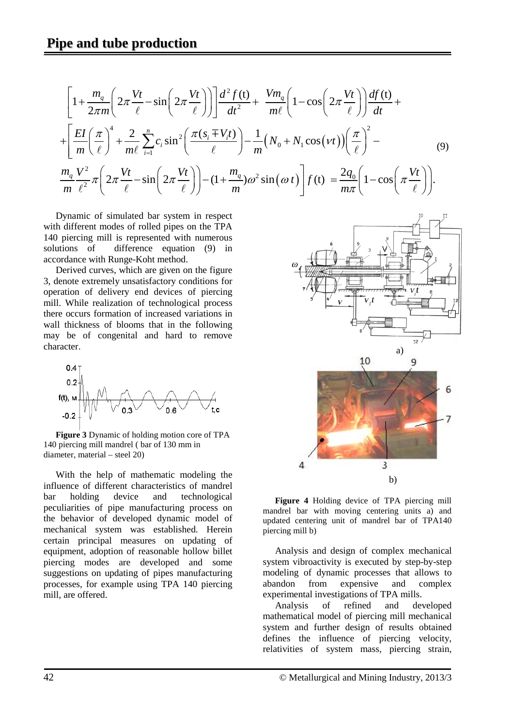$$
\left[1+\frac{m_q}{2\pi m}\left(2\pi\frac{Vt}{\ell}-\sin\left(2\pi\frac{Vt}{\ell}\right)\right)\right]\frac{d^2f(t)}{dt^2}+\frac{Vm_q}{m\ell}\left(1-\cos\left(2\pi\frac{Vt}{\ell}\right)\right)\frac{df(t)}{dt}+\n+\left[\frac{EI}{m}\left(\frac{\pi}{\ell}\right)^4+\frac{2}{m\ell}\sum_{i=1}^n c_i\sin^2\left(\frac{\pi(s_i+V_it)}{\ell}\right)-\frac{1}{m}\left(N_0+N_1\cos(vt)\right)\left(\frac{\pi}{\ell}\right)^2-\frac{m_qV^2}{m\ell^2}\pi\left(2\pi\frac{Vt}{\ell}-\sin\left(2\pi\frac{Vt}{\ell}\right)\right)-(1+\frac{m_q}{m})\omega^2\sin(\omega t)\right]f(t)=\frac{2q_0}{m\pi}\left(1-\cos\left(\pi\frac{Vt}{\ell}\right)\right).
$$
\n(9)

Dynamic of simulated bar system in respect with different modes of rolled pipes on the TPA 140 piercing mill is represented with numerous solutions of difference equation (9) in accordance with Runge-Koht method.

Derived curves, which are given on the figure 3, denote extremely unsatisfactory conditions for operation of delivery end devices of piercing mill. While realization of technological process there occurs formation of increased variations in wall thickness of blooms that in the following may be of congenital and hard to remove character.



**Figure 3** Dynamic of holding motion core of TPA 140 piercing mill mandrel ( bar of 130 mm in diameter, material – steel 20)

With the help of mathematic modeling the influence of different characteristics of mandrel<br>harmonometric device and technological bar holding device and technological peculiarities of pipe manufacturing process on the behavior of developed dynamic model of mechanical system was established. Herein certain principal measures on updating of equipment, adoption of reasonable hollow billet piercing modes are developed and some suggestions on updating of pipes manufacturing processes, for example using TPA 140 piercing mill, are offered.



**Figure 4** Holding device of TPA piercing mill mandrel bar with moving centering units a) and updated centering unit of mandrel bar of TPA140 piercing mill b)

Analysis and design of complex mechanical system vibroactivity is executed by step-by-step modeling of dynamic processes that allows to abandon from expensive and complex experimental investigations of TPA mills.

Analysis of refined and developed mathematical model of piercing mill mechanical system and further design of results obtained defines the influence of piercing velocity, relativities of system mass, piercing strain,